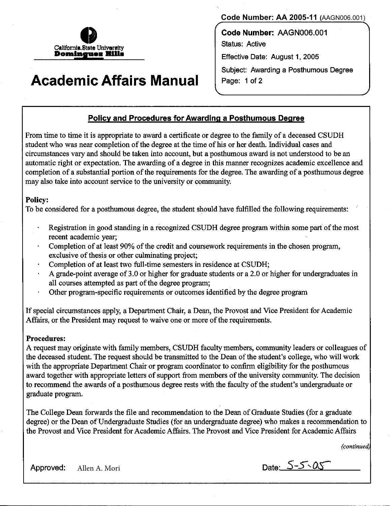

## **Academic Affairs Manual**

**Code Number: AA 2005-11 (**AAGN006.001)

**Code Number:** AAGN006.001 Status: Active Effective Date: August 1, 2005 Subject: Awarding a Posthumous Degree Page: 1 of 2

## **Policy and Procedures for Awarding a Posthumous Degree**

From time to time it is appropriate to award a certificate or degree to the family of a deceased CSUDH student who was near completion of the degree at the time of his or her death. Individual cases and circumstances vary and should be taken into account, but a posthumous award is not understood to be an automatic right or expectation. The awarding of a degree in this manner recognizes academic excellence and completion of a substantial portion of the requirements for the degree. The awarding of a posthumous degree may also take into account service to the university or community.

## Policy:

To be considered for a posthumous degree, the student should have fulfilled the following requirements:

- Registration in good standing in a recognized CSUDH degree program within some part of the most recent academic year;
- Completion of at least 90% of the credit and coursework requirements in the chosen program, exclusive of thesis or other culminating project;
- Completion of at least two full-time semesters in residence at CSUDH;
- A grade-point average of 3.0 or higher for graduate students or a 2.0 or higher for undergraduates in all courses attempted as part of the degree program;
- Other program-specific requirements or outcomes identified by the degree program  $\bullet$

If special circumstances apply, a Department Chair, a Dean, the Provost and Vice President for Academic Affairs, or the President may request to waive one or more of the requirements.

## Procedures:

A request may originate with family members, CSUDH faculty members, community leaders or colleagues of the deceased student. The request should be transmitted to the Dean of the student's college, who will work with the appropriate Department Chair or program coordinator to confirm eligibility for the posthumous award together with appropriate letters of support from members of the university community. The decision to recommend the awards of a posthumous degree rests with the faculty of the student's undergraduate or graduate program.

The College Dean forwards the file and recommendation to the Dean of Graduate Studies (for a graduate degree) or the Dean of Undergraduate Studies (for an undergraduate degree) who makes a recommendation to the Provost and Vice President for Academic Affairs. The Provost and Vice President for Academic Affairs

*(continued* 

Approved: Allen A. Mori **Date:** *S-S*, *OS*